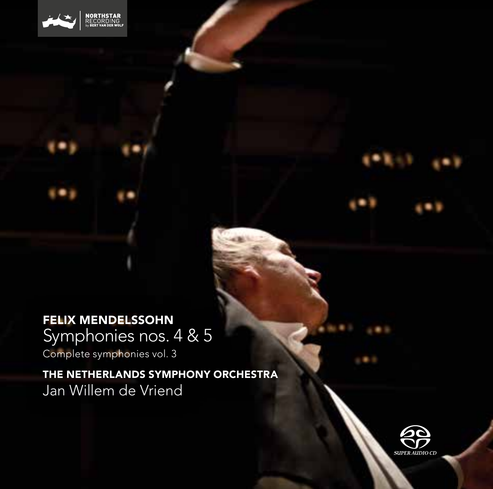

# FELIX MENDELSSOHN

Symphonies nos. 4 & 5

Complete symphonies vol. 3

THE NETHERLANDS SYMPHONY ORCHESTRA Jan Willem de Vriend

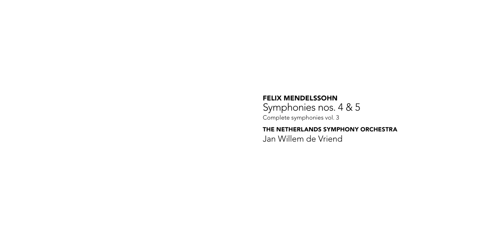FELIX MENDELSSOHN Symphonies nos. 4 & 5 Complete symphonies vol. 3

THE NETHERLANDS SYMPHONY ORCHESTRA Jan Willem de Vriend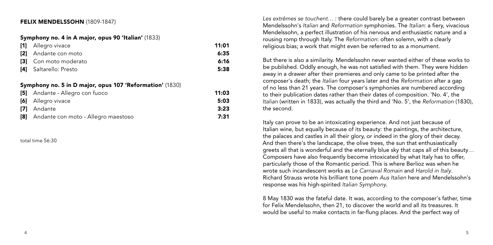## FELIX MENDELSSOHN (1809-1847)

#### Symphony no. 4 in A major, opus 90 'Italian' (1833)

| [1] Allegro vivace     | 11:01 |
|------------------------|-------|
| [2] Andante con moto   | 6:35  |
| [3] Con moto moderato  | 6:16  |
| [4] Saltarello: Presto | 5:38  |

#### Symphony no. 5 in D major, opus 107 'Reformation' (1830)

| [5] Andante - Allegro con fuoco         | 11:03 |
|-----------------------------------------|-------|
| <b>[6]</b> Allegro vivace               | 5:03  |
| <b>171</b> Andante                      | 3:23  |
| [8] Andante con moto - Allegro maestoso | 7:31  |

total time 56:30

*Les extrêmes se touchent*… : there could barely be a greater contrast between Mendelssohn's *Italian* and *Reformation* symphonies. The *Italian*: a fiery, vivacious Mendelssohn, a perfect illustration of his nervous and enthusiastic nature and a rousing romp through Italy. The *Reformation*: often solemn, with a clearly religious bias; a work that might even be referred to as a monument.

But there is also a similarity. Mendelssohn never wanted either of these works to be published. Oddly enough, he was not satisfied with them. They were hidden away in a drawer after their premieres and only came to be printed after the composer's death; the *Italian* four years later and the *Reformation* after a gap of no less than 21 years. The composer's symphonies are numbered according to their publication dates rather than their dates of composition. 'No. 4', the *Italian* (written in 1833), was actually the third and 'No. 5', the *Reformation* (1830), the second.

Italy can prove to be an intoxicating experience. And not just because of Italian wine, but equally because of its beauty: the paintings, the architecture, the palaces and castles in all their glory, or indeed in the glory of their decay. And then there's the landscape, the olive trees, the sun that enthusiastically greets all that is wonderful and the eternally blue sky that caps all of this beauty… Composers have also frequently become intoxicated by what Italy has to offer, particularly those of the Romantic period. This is where Berlioz was when he wrote such incandescent works as *Le Carnaval Romain* and *Harold in Italy*. Richard Strauss wrote his brilliant tone poem *Aus Italien* here and Mendelssohn's response was his high-spirited *Italian Symphony*.

8 May 1830 was the fateful date. It was, according to the composer's father, time for Felix Mendelssohn, then 21, to discover the world and all its treasures. It would be useful to make contacts in far-flung places. And the perfect way of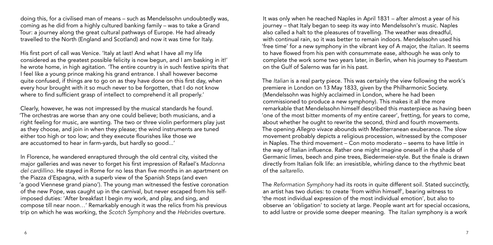doing this, for a civilised man of means – such as Mendelssohn undoubtedly was, coming as he did from a highly cultured banking family – was to take a Grand Tour: a journey along the great cultural pathways of Europe. He had already travelled to the North (England and Scotland) and now it was time for Italy.

His first port of call was Venice. 'Italy at last! And what I have all my life considered as the greatest possible felicity is now begun, and I am basking in it!' he wrote home, in high agitation. 'The entire country is in such festive spirits that I feel like a young prince making his grand entrance. I shall however become quite confused, if things are to go on as they have done on this first day, when every hour brought with it so much never to be forgotten, that I do not know where to find sufficient grasp of intellect to comprehend it all properly.'

Clearly, however, he was not impressed by the musical standards he found. 'The orchestras are worse than any one could believe; both musicians, and a right feeling for music, are wanting. The two or three violin performers play just as they choose, and join in when they please; the wind instruments are tuned either too high or too low; and they execute flourishes like those we are accustomed to hear in farm-yards, but hardly so good...'

In Florence, he wandered enraptured through the old central city, visited the major galleries and was never to forget his first impression of Rafael's *Madonna del cardillino*. He stayed in Rome for no less than five months in an apartment on the Piazza d'Espagna, with a superb view of the Spanish Steps (and even 'a good Viennese grand piano'). The young man witnessed the festive coronation of the new Pope, was caught up in the carnival, but never escaped from his selfimposed duties: 'After breakfast I begin my work, and play, and sing, and compose till near noon…' Remarkably enough it was the relics from his previous trip on which he was working, the *Scotch Symphony* and the *Hebrides* overture.

It was only when he reached Naples in April 1831 – after almost a year of his journey – that Italy began to seep its way into Mendelssohn's music. Naples also called a halt to the pleasures of travelling. The weather was dreadful, with continual rain, so it was better to remain indoors. Mendelssohn used his 'free time' for a new symphony in the vibrant key of A major, the *Italian*. It seems to have flowed from his pen with consummate ease, although he was only to complete the work some two years later, in Berlin, when his journey to Paestum on the Gulf of Salerno was far in his past.

The *Italian* is a real party piece. This was certainly the view following the work's premiere in London on 13 May 1833, given by the Philharmonic Society. (Mendelssohn was highly acclaimed in London, where he had been commissioned to produce a new symphony). This makes it all the more remarkable that Mendelssohn himself described this masterpiece as having been 'one of the most bitter moments of my entire career', fretting, for years to come, about whether he ought to rewrite the second, third and fourth movements. The opening *Allegro vivace* abounds with Mediterranean exuberance. The slow movement probably depicts a religious procession, witnessed by the composer in Naples. The third movement – Con moto moderato – seems to have little in the way of Italian influence. Rather one might imagine oneself in the shade of Germanic limes, beech and pine trees, Biedermeier-style. But the finale is drawn directly from Italian folk life: an irresistible, whirling dance to the rhythmic beat of the *saltarello*.

The *Reformation Symphony* had its roots in quite different soil. Stated succinctly, an artist has two duties: to create 'from within himself', bearing witness to 'the most individual expression of the most individual emotion', but also to observe an 'obligation' to society at large. People want art for special occasions, to add lustre or provide some deeper meaning. The *Italian* symphony is a work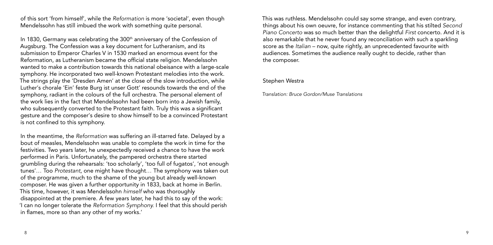of this sort 'from himself', while the *Reformation* is more 'societal', even though Mendelssohn has still imbued the work with something quite personal.

In 1830, Germany was celebrating the 300<sup>th</sup> anniversary of the Confession of Augsburg. The Confession was a key document for Lutheranism, and its submission to Emperor Charles V in 1530 marked an enormous event for the Reformation, as Lutheranism became the official state religion. Mendelssohn wanted to make a contribution towards this national obeisance with a large-scale symphony. He incorporated two well-known Protestant melodies into the work. The strings play the 'Dresden Amen' at the close of the slow introduction, while Luther's chorale 'Ein' feste Burg ist unser Gott' resounds towards the end of the symphony, radiant in the colours of the full orchestra. The personal element of the work lies in the fact that Mendelssohn had been born into a Jewish family, who subsequently converted to the Protestant faith. Truly this was a significant gesture and the composer's desire to show himself to be a convinced Protestant is not confined to this symphony.

In the meantime, the *Reformation* was suffering an ill-starred fate. Delayed by a bout of measles, Mendelssohn was unable to complete the work in time for the festivities. Two years later, he unexpectedly received a chance to have the work performed in Paris. Unfortunately, the pampered orchestra there started grumbling during the rehearsals: 'too scholarly', 'too full of fugatos', 'not enough tunes'… Too *Protestant*, one might have thought… The symphony was taken out of the programme, much to the shame of the young but already well-known composer. He was given a further opportunity in 1833, back at home in Berlin. This time, however, it was Mendelssohn *himself* who was thoroughly disappointed at the premiere. A few years later, he had this to say of the work: 'I can no longer tolerate the *Reformation Symphony.* I feel that this should perish in flames, more so than any other of my works.'

This was ruthless. Mendelssohn could say some strange, and even contrary, things about his own oeuvre, for instance commenting that his stilted *Second Piano Concerto* was so much better than the delightful *First* concerto. And it is also remarkable that he never found any reconciliation with such a sparkling score as the *Italian* – now, quite rightly, an unprecedented favourite with audiences. Sometimes the audience really ought to decide, rather than the composer.

## Stephen Westra

*Translation: Bruce Gordon/Muse Translations*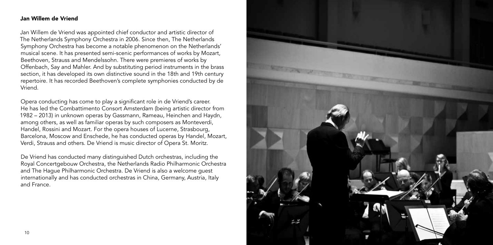## Jan Willem de Vriend

Jan Willem de Vriend was appointed chief conductor and artistic director of The Netherlands Symphony Orchestra in 2006. Since then, The Netherlands Symphony Orchestra has become a notable phenomenon on the Netherlands' musical scene. It has presented semi-scenic performances of works by Mozart, Beethoven, Strauss and Mendelssohn. There were premieres of works by Offenbach, Say and Mahler. And by substituting period instruments in the brass section, it has developed its own distinctive sound in the 18th and 19th century repertoire. It has recorded Beethoven's complete symphonies conducted by de Vriend.

Opera conducting has come to play a significant role in de Vriend's career. He has led the Combattimento Consort Amsterdam (being artistic director from 1982 – 2013) in unknown operas by Gassmann, Rameau, Heinchen and Haydn, among others, as well as familiar operas by such composers as Monteverdi, Handel, Rossini and Mozart. For the opera houses of Lucerne, Strasbourg, Barcelona, Moscow and Enschede, he has conducted operas by Handel, Mozart, Verdi, Strauss and others. De Vriend is music director of Opera St. Moritz.

De Vriend has conducted many distinguished Dutch orchestras, including the Royal Concertgebouw Orchestra, the Netherlands Radio Philharmonic Orchestra and The Hague Philharmonic Orchestra. De Vriend is also a welcome guest internationally and has conducted orchestras in China, Germany, Austria, Italy and France.

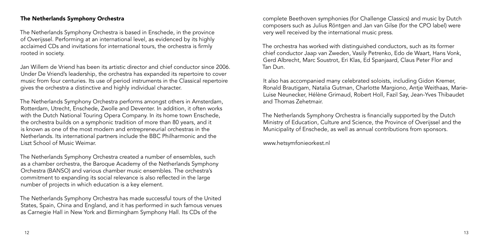## The Netherlands Symphony Orchestra

The Netherlands Symphony Orchestra is based in Enschede, in the province of Overijssel. Performing at an international level, as evidenced by its highly acclaimed CDs and invitations for international tours, the orchestra is firmly rooted in society.

Jan Willem de Vriend has been its artistic director and chief conductor since 2006. Under De Vriend's leadership, the orchestra has expanded its repertoire to cover music from four centuries. Its use of period instruments in the Classical repertoire gives the orchestra a distinctive and highly individual character.

The Netherlands Symphony Orchestra performs amongst others in Amsterdam, Rotterdam, Utrecht, Enschede, Zwolle and Deventer. In addition, it often works with the Dutch National Touring Opera Company. In its home town Enschede, the orchestra builds on a symphonic tradition of more than 80 years, and it is known as one of the most modern and entrepreneurial orchestras in the Netherlands. Its international partners include the BBC Philharmonic and the Liszt School of Music Weimar.

The Netherlands Symphony Orchestra created a number of ensembles, such as a chamber orchestra, the Baroque Academy of the Netherlands Symphony Orchestra (BANSO) and various chamber music ensembles. The orchestra's commitment to expanding its social relevance is also reflected in the large number of projects in which education is a key element.

The Netherlands Symphony Orchestra has made successful tours of the United States, Spain, China and England, and it has performed in such famous venues as Carnegie Hall in New York and Birmingham Symphony Hall. Its CDs of the

complete Beethoven symphonies (for Challenge Classics) and music by Dutch composers such as Julius Röntgen and Jan van Gilse (for the CPO label) were very well received by the international music press.

The orchestra has worked with distinguished conductors, such as its former chief conductor Jaap van Zweden, Vasily Petrenko, Edo de Waart, Hans Vonk, Gerd Albrecht, Marc Soustrot, Eri Klas, Ed Spanjaard, Claus Peter Flor and Tan Dun.

It also has accompanied many celebrated soloists, including Gidon Kremer, Ronald Brautigam, Natalia Gutman, Charlotte Margiono, Antje Weithaas, Marie-Luise Neunecker, Hélène Grimaud, Robert Holl, Fazil Say, Jean-Yves Thibaudet and Thomas Zehetmair.

The Netherlands Symphony Orchestra is financially supported by the Dutch Ministry of Education, Culture and Science, the Province of Overijssel and the Municipality of Enschede, as well as annual contributions from sponsors.

www.hetsymfonieorkest.nl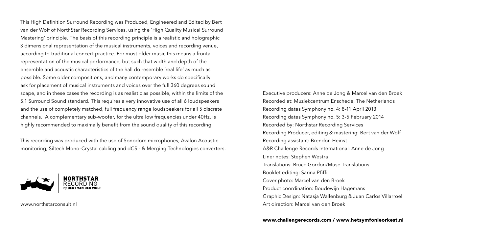This High Definition Surround Recording was Produced, Engineered and Edited by Bert van der Wolf of NorthStar Recording Services, using the 'High Quality Musical Surround Mastering' principle. The basis of this recording principle is a realistic and holographic 3 dimensional representation of the musical instruments, voices and recording venue, according to traditional concert practice. For most older music this means a frontal representation of the musical performance, but such that width and depth of the ensemble and acoustic characteristics of the hall do resemble 'real life' as much as possible. Some older compositions, and many contemporary works do specifically ask for placement of musical instruments and voices over the full 360 degrees sound scape, and in these cases the recording is as realistic as possible, within the limits of the 5.1 Surround Sound standard. This requires a very innovative use of all 6 loudspeakers and the use of completely matched, full frequency range loudspeakers for all 5 discrete channels. A complementary sub-woofer, for the ultra low frequencies under 40Hz, is highly recommended to maximally benefit from the sound quality of this recording.

This recording was produced with the use of Sonodore microphones, Avalon Acoustic monitoring, Siltech Mono-Crystal cabling and dCS - & Merging Technologies converters.



www.northstarconsult.nl

Executive producers: Anne de Jong & Marcel van den Broek Recorded at: Muziekcentrum Enschede, The Netherlands Recording dates Symphony no. 4: 8-11 April 2013 Recording dates Symphony no. 5: 3-5 February 2014 Recorded by: Northstar Recording Services Recording Producer, editing & mastering: Bert van der Wolf Recording assistant: Brendon Heinst A&R Challenge Records International: Anne de Jong Liner notes: Stephen Westra Translations: Bruce Gordon/Muse Translations Booklet editing: Sarina Pfiffi Cover photo: Marcel van den Broek Product coordination: Boudewijn Hagemans Graphic Design: Natasja Wallenburg & Juan Carlos Villarroel Art direction: Marcel van den Broek

www.challengerecords.com / www.hetsymfonieorkest.nl